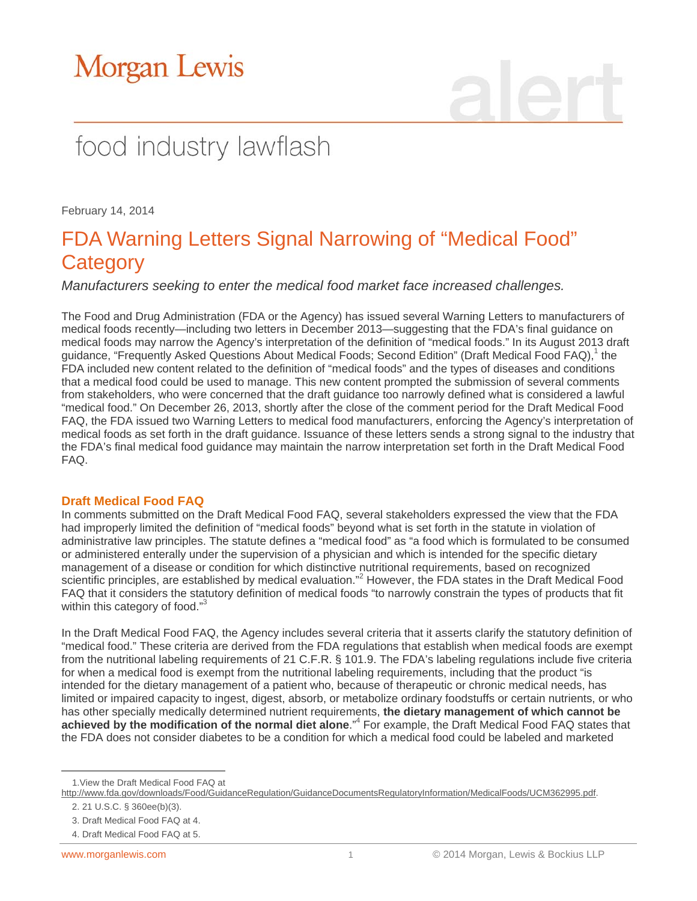# Morgan Lewis

## food industry lawflash

February 14, 2014

### FDA Warning Letters Signal Narrowing of "Medical Food" **Category**

*Manufacturers seeking to enter the medical food market face increased challenges.*

The Food and Drug Administration (FDA or the Agency) has issued several Warning Letters to manufacturers of medical foods recently—including two letters in December 2013—suggesting that the FDA's final guidance on medical foods may narrow the Agency's interpretation of the definition of "medical foods." In its August 2013 draft guidance, "Frequently Asked Questions About Medical Foods; Second Edition" (Draft Medical Food FAQ),<sup>1</sup> the FDA included new content related to the definition of "medical foods" and the types of diseases and conditions that a medical food could be used to manage. This new content prompted the submission of several comments from stakeholders, who were concerned that the draft guidance too narrowly defined what is considered a lawful "medical food." On December 26, 2013, shortly after the close of the comment period for the Draft Medical Food FAQ, the FDA issued two Warning Letters to medical food manufacturers, enforcing the Agency's interpretation of medical foods as set forth in the draft guidance. Issuance of these letters sends a strong signal to the industry that the FDA's final medical food guidance may maintain the narrow interpretation set forth in the Draft Medical Food FAQ.

#### **Draft Medical Food FAQ**

In comments submitted on the Draft Medical Food FAQ, several stakeholders expressed the view that the FDA had improperly limited the definition of "medical foods" beyond what is set forth in the statute in violation of administrative law principles. The statute defines a "medical food" as "a food which is formulated to be consumed or administered enterally under the supervision of a physician and which is intended for the specific dietary management of a disease or condition for which distinctive nutritional requirements, based on recognized scientific principles, are established by medical evaluation."<sup>2</sup> However, the FDA states in the Draft Medical Food FAQ that it considers the statutory definition of medical foods "to narrowly constrain the types of products that fit within this category of food."<sup>3</sup>

In the Draft Medical Food FAQ, the Agency includes several criteria that it asserts clarify the statutory definition of "medical food." These criteria are derived from the FDA regulations that establish when medical foods are exempt from the nutritional labeling requirements of 21 C.F.R. § 101.9. The FDA's labeling regulations include five criteria for when a medical food is exempt from the nutritional labeling requirements, including that the product "is intended for the dietary management of a patient who, because of therapeutic or chronic medical needs, has limited or impaired capacity to ingest, digest, absorb, or metabolize ordinary foodstuffs or certain nutrients, or who has other specially medically determined nutrient requirements, **the dietary management of which cannot be**  achieved by the modification of the normal diet alone.<sup>"4</sup> For example, the Draft Medical Food FAQ states that the FDA does not consider diabetes to be a condition for which a medical food could be labeled and marketed

 $\overline{a}$ 1.View the Draft Medical Food FAQ at

[http://www.fda.gov/downloads/Food/GuidanceRegulation/GuidanceDocumentsRegulatoryInformation/MedicalFoods/UCM362995.pdf.](http://www.fda.gov/downloads/Food/GuidanceRegulation/GuidanceDocumentsRegulatoryInformation/MedicalFoods/UCM362995.pdf) 

<sup>2. 21</sup> U.S.C. § 360ee(b)(3).

<sup>3.</sup> Draft Medical Food FAQ at 4.

<sup>4.</sup> Draft Medical Food FAQ at 5.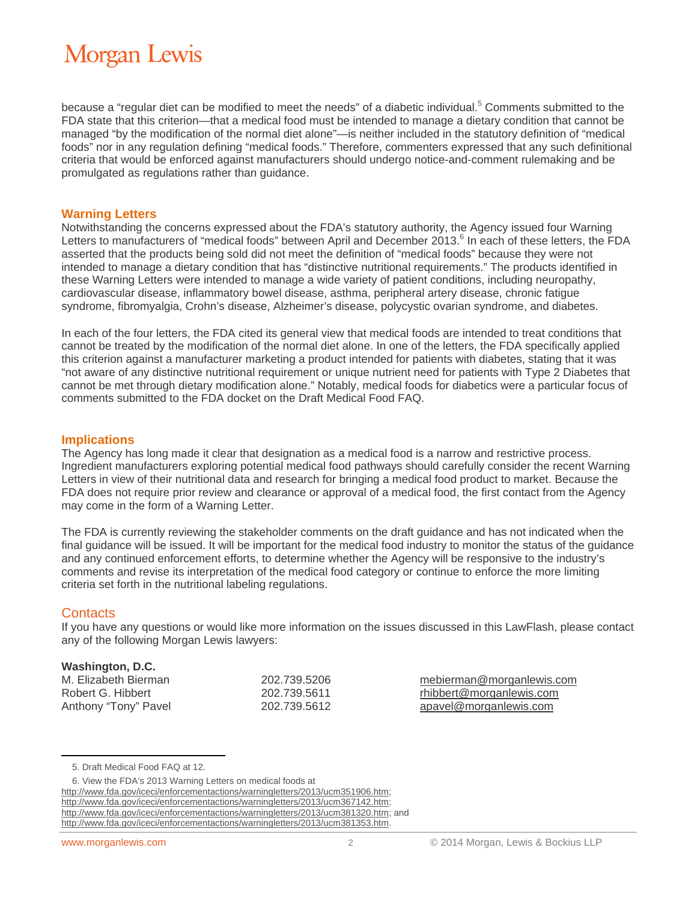## **Morgan Lewis**

because a "regular diet can be modified to meet the needs" of a diabetic individual.<sup>5</sup> Comments submitted to the FDA state that this criterion—that a medical food must be intended to manage a dietary condition that cannot be managed "by the modification of the normal diet alone"—is neither included in the statutory definition of "medical foods" nor in any regulation defining "medical foods." Therefore, commenters expressed that any such definitional criteria that would be enforced against manufacturers should undergo notice-and-comment rulemaking and be promulgated as regulations rather than guidance.

#### **Warning Letters**

Notwithstanding the concerns expressed about the FDA's statutory authority, the Agency issued four Warning Letters to manufacturers of "medical foods" between April and December 2013.<sup>6</sup> In each of these letters, the FDA asserted that the products being sold did not meet the definition of "medical foods" because they were not intended to manage a dietary condition that has "distinctive nutritional requirements." The products identified in these Warning Letters were intended to manage a wide variety of patient conditions, including neuropathy, cardiovascular disease, inflammatory bowel disease, asthma, peripheral artery disease, chronic fatigue syndrome, fibromyalgia, Crohn's disease, Alzheimer's disease, polycystic ovarian syndrome, and diabetes.

In each of the four letters, the FDA cited its general view that medical foods are intended to treat conditions that cannot be treated by the modification of the normal diet alone. In one of the letters, the FDA specifically applied this criterion against a manufacturer marketing a product intended for patients with diabetes, stating that it was "not aware of any distinctive nutritional requirement or unique nutrient need for patients with Type 2 Diabetes that cannot be met through dietary modification alone." Notably, medical foods for diabetics were a particular focus of comments submitted to the FDA docket on the Draft Medical Food FAQ.

#### **Implications**

The Agency has long made it clear that designation as a medical food is a narrow and restrictive process. Ingredient manufacturers exploring potential medical food pathways should carefully consider the recent Warning Letters in view of their nutritional data and research for bringing a medical food product to market. Because the FDA does not require prior review and clearance or approval of a medical food, the first contact from the Agency may come in the form of a Warning Letter.

The FDA is currently reviewing the stakeholder comments on the draft guidance and has not indicated when the final guidance will be issued. It will be important for the medical food industry to monitor the status of the guidance and any continued enforcement efforts, to determine whether the Agency will be responsive to the industry's comments and revise its interpretation of the medical food category or continue to enforce the more limiting criteria set forth in the nutritional labeling regulations.

#### **Contacts**

 $\overline{a}$ 

If you have any questions or would like more information on the issues discussed in this LawFlash, please contact any of the following Morgan Lewis lawyers:

#### **Washington, D.C.**

M. Elizabeth Bierman 202.739.5206 mebierman@morganlewis.com Robert G. Hibbert 202.739.5611 rhibbert@morganlewis.com Anthony "Tony" Pavel 202.739.5612 apavel@morganlewis.com

http://www.fda.gov/iceci/enforcementactions/warningletters/2013/ucm351906.htm; http://www.fda.gov/iceci/enforcementactions/warningletters/2013/ucm367142.htm; http://www.fda.gov/iceci/enforcementactions/warningletters/2013/ucm381320.htm; and http://www.fda.gov/iceci/enforcementactions/warningletters/2013/ucm381353.htm.

<sup>5.</sup> Draft Medical Food FAQ at 12.

<sup>6.</sup> View the FDA's 2013 Warning Letters on medical foods at